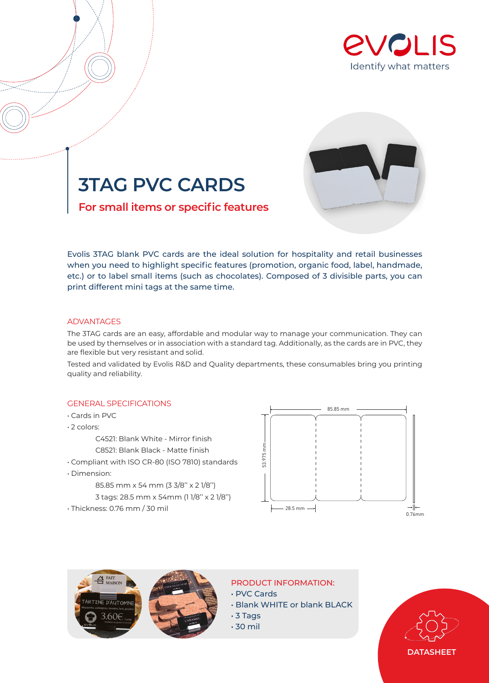





**For small items or specific features**

Evolis 3TAG blank PVC cards are the ideal solution for hospitality and retail businesses when you need to highlight specific features (promotion, organic food, label, handmade, etc.) or to label small items (such as chocolates). Composed of 3 divisible parts, you can print different mini tags at the same time.

## ADVANTAGES

The 3TAG cards are an easy, affordable and modular way to manage your communication. They can be used by themselves or in association with a standard tag. Additionally, as the cards are in PVC, they are flexible but very resistant and solid.

Tested and validated by Evolis R&D and Quality departments, these consumables bring you printing quality and reliability.

## GENERAL SPECIFICATIONS

- Cards in PVC
- 2 colors:
	- C4521: Blank White Mirror finish
	- C8521: Blank Black Matte finish
- Compliant with ISO CR-80 (ISO 7810) standards
- Dimension:
	- 85.85 mm x 54 mm (3 3/8'' x 2 1/8'')
	- 3 tags: 28.5 mm x 54mm (1 1/8'' x 2 1/8'')
- Thickness: 0.76 mm / 30 mil





PRODUCT INFORMATION:

- PVC Cards
- Blank WHITE or blank BLACK
- 3 Tags
- 30 mil